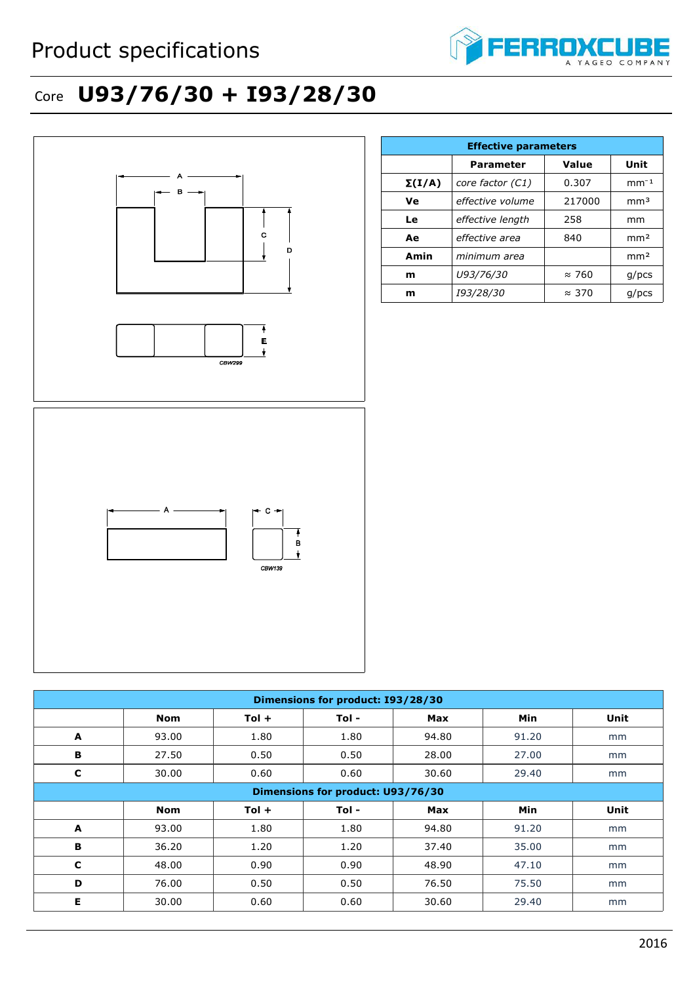

## Core **U93/76/30 + I93/28/30**



| C                                 | 30.00 | 0.60    | 0.60  | 30.60      | 29.40 | mm   |  |
|-----------------------------------|-------|---------|-------|------------|-------|------|--|
| Dimensions for product: U93/76/30 |       |         |       |            |       |      |  |
|                                   | Nom   | $Tol +$ | Tol - | <b>Max</b> | Min   | Unit |  |
| A                                 | 93.00 | 1.80    | 1.80  | 94.80      | 91.20 | mm   |  |
| В                                 | 36.20 | 1.20    | 1.20  | 37.40      | 35.00 | mm   |  |
| C                                 | 48.00 | 0.90    | 0.90  | 48.90      | 47.10 | mm   |  |
| D                                 | 76.00 | 0.50    | 0.50  | 76.50      | 75.50 | mm   |  |
| Е                                 | 30.00 | 0.60    | 0.60  | 30.60      | 29.40 | mm   |  |